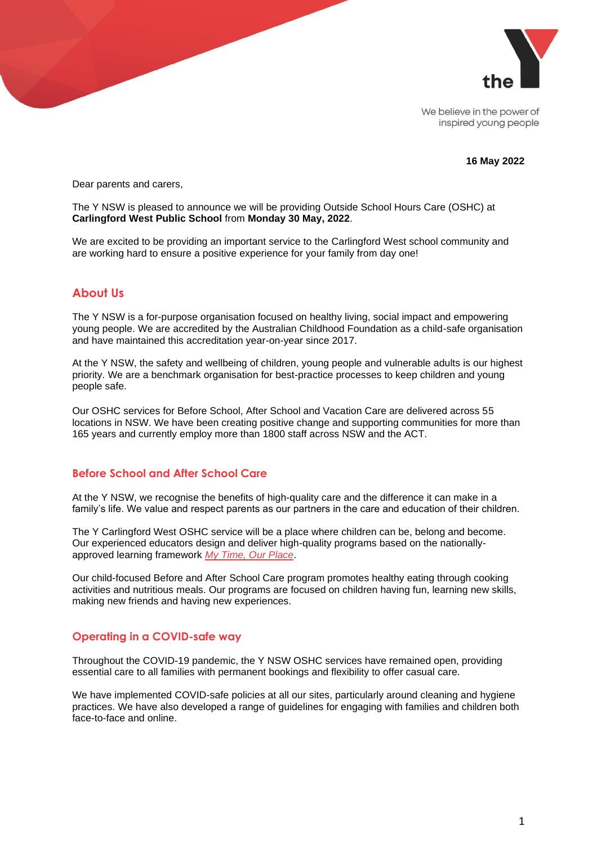

We believe in the power of inspired young people

#### **16 May 2022**

Dear parents and carers,

The Y NSW is pleased to announce we will be providing Outside School Hours Care (OSHC) at **Carlingford West Public School** from **Monday 30 May, 2022**.

We are excited to be providing an important service to the Carlingford West school community and are working hard to ensure a positive experience for your family from day one!

# **About Us**

The Y NSW is a for-purpose organisation focused on healthy living, social impact and empowering young people. We are accredited by the Australian Childhood Foundation as a child-safe organisation and have maintained this accreditation year-on-year since 2017.

At the Y NSW, the safety and wellbeing of children, young people and vulnerable adults is our highest priority. We are a benchmark organisation for best-practice processes to keep children and young people safe.

Our OSHC services for Before School, After School and Vacation Care are delivered across 55 locations in NSW. We have been creating positive change and supporting communities for more than 165 years and currently employ more than 1800 staff across NSW and the ACT.

#### **Before School and After School Care**

At the Y NSW, we recognise the benefits of high-quality care and the difference it can make in a family's life. We value and respect parents as our partners in the care and education of their children.

The Y Carlingford West OSHC service will be a place where children can be, belong and become. Our experienced educators design and deliver high-quality programs based on the nationallyapproved learning framework *[My Time, Our Place](https://www.dese.gov.au/national-quality-framework-early-childhood-education-and-care/resources/educators-my-time-our-place)*.

Our child-focused Before and After School Care program promotes healthy eating through cooking activities and nutritious meals. Our programs are focused on children having fun, learning new skills, making new friends and having new experiences.

#### **Operating in a COVID-safe way**

Throughout the COVID-19 pandemic, the Y NSW OSHC services have remained open, providing essential care to all families with permanent bookings and flexibility to offer casual care.

We have implemented COVID-safe policies at all our sites, particularly around cleaning and hygiene practices. We have also developed a range of guidelines for engaging with families and children both face-to-face and online.